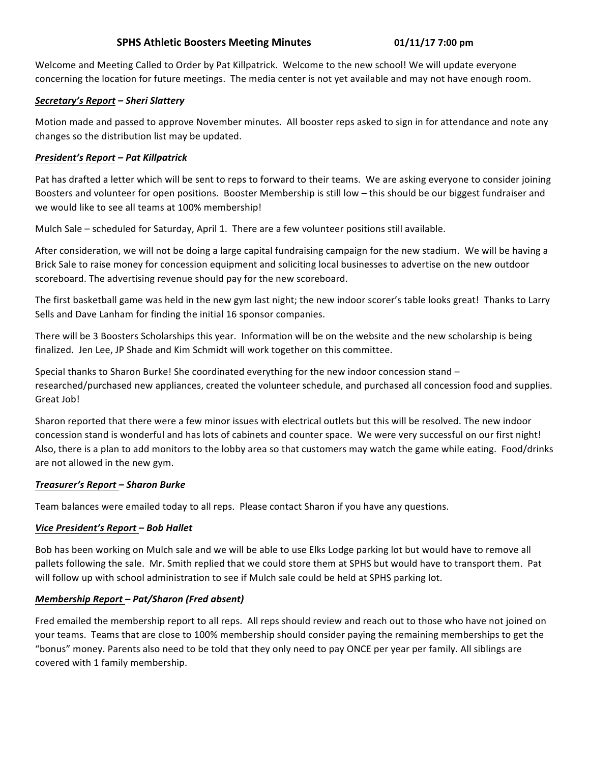# **SPHS Athletic Boosters Meeting Minutes 01/11/17 7:00 pm**

Welcome and Meeting Called to Order by Pat Killpatrick. Welcome to the new school! We will update everyone concerning the location for future meetings. The media center is not yet available and may not have enough room.

## *Secretary's Report – Sheri Slattery*

Motion made and passed to approve November minutes. All booster reps asked to sign in for attendance and note any changes so the distribution list may be updated.

# *President's Report – Pat Killpatrick*

Pat has drafted a letter which will be sent to reps to forward to their teams. We are asking everyone to consider joining Boosters and volunteer for open positions. Booster Membership is still low – this should be our biggest fundraiser and we would like to see all teams at 100% membership!

Mulch Sale – scheduled for Saturday, April 1. There are a few volunteer positions still available.

After consideration, we will not be doing a large capital fundraising campaign for the new stadium. We will be having a Brick Sale to raise money for concession equipment and soliciting local businesses to advertise on the new outdoor scoreboard. The advertising revenue should pay for the new scoreboard.

The first basketball game was held in the new gym last night; the new indoor scorer's table looks great! Thanks to Larry Sells and Dave Lanham for finding the initial 16 sponsor companies.

There will be 3 Boosters Scholarships this year. Information will be on the website and the new scholarship is being finalized. Jen Lee, JP Shade and Kim Schmidt will work together on this committee.

Special thanks to Sharon Burke! She coordinated everything for the new indoor concession stand researched/purchased new appliances, created the volunteer schedule, and purchased all concession food and supplies. Great Job!

Sharon reported that there were a few minor issues with electrical outlets but this will be resolved. The new indoor concession stand is wonderful and has lots of cabinets and counter space. We were very successful on our first night! Also, there is a plan to add monitors to the lobby area so that customers may watch the game while eating. Food/drinks are not allowed in the new gym.

## *Treasurer's Report – Sharon Burke*

Team balances were emailed today to all reps. Please contact Sharon if you have any questions.

## *Vice President's Report – Bob Hallet*

Bob has been working on Mulch sale and we will be able to use Elks Lodge parking lot but would have to remove all pallets following the sale. Mr. Smith replied that we could store them at SPHS but would have to transport them. Pat will follow up with school administration to see if Mulch sale could be held at SPHS parking lot.

## *Membership Report – Pat/Sharon (Fred absent)*

Fred emailed the membership report to all reps. All reps should review and reach out to those who have not joined on your teams. Teams that are close to 100% membership should consider paying the remaining memberships to get the "bonus" money. Parents also need to be told that they only need to pay ONCE per year per family. All siblings are covered with 1 family membership.